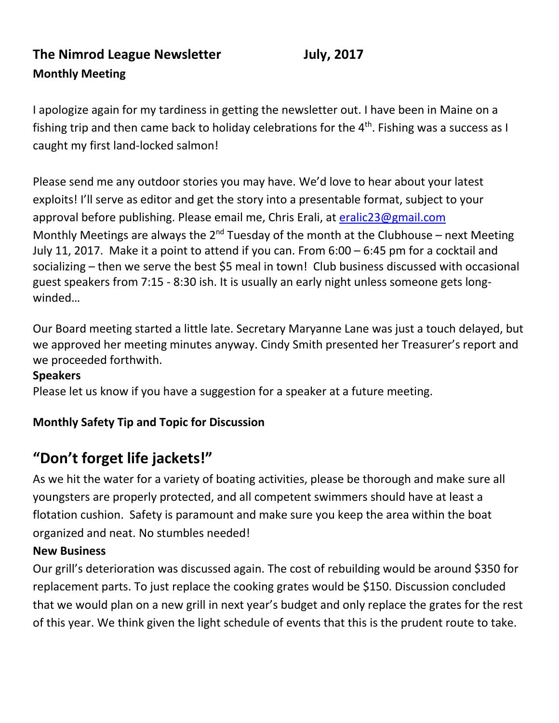# **The Nimrod League Newsletter July, 2017 Monthly Meeting**

I apologize again for my tardiness in getting the newsletter out. I have been in Maine on a fishing trip and then came back to holiday celebrations for the  $4<sup>th</sup>$ . Fishing was a success as I caught my first land-locked salmon!

Please send me any outdoor stories you may have. We'd love to hear about your latest exploits! I'll serve as editor and get the story into a presentable format, subject to your approval before publishing. Please email me, Chris Erali, at [eralic23@gmail.com](mailto:eralic23@gmail.com) Monthly Meetings are always the  $2^{nd}$  Tuesday of the month at the Clubhouse – next Meeting July 11, 2017. Make it a point to attend if you can. From 6:00 – 6:45 pm for a cocktail and socializing – then we serve the best \$5 meal in town! Club business discussed with occasional guest speakers from 7:15 - 8:30 ish. It is usually an early night unless someone gets longwinded…

Our Board meeting started a little late. Secretary Maryanne Lane was just a touch delayed, but we approved her meeting minutes anyway. Cindy Smith presented her Treasurer's report and we proceeded forthwith.

#### **Speakers**

Please let us know if you have a suggestion for a speaker at a future meeting.

## **Monthly Safety Tip and Topic for Discussion**

# **"Don't forget life jackets!"**

As we hit the water for a variety of boating activities, please be thorough and make sure all youngsters are properly protected, and all competent swimmers should have at least a flotation cushion. Safety is paramount and make sure you keep the area within the boat organized and neat. No stumbles needed!

#### **New Business**

Our grill's deterioration was discussed again. The cost of rebuilding would be around \$350 for replacement parts. To just replace the cooking grates would be \$150. Discussion concluded that we would plan on a new grill in next year's budget and only replace the grates for the rest of this year. We think given the light schedule of events that this is the prudent route to take.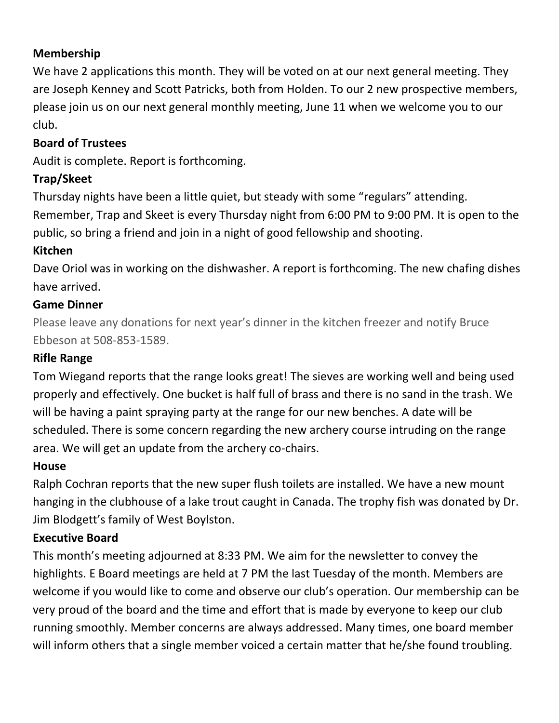#### **Membership**

We have 2 applications this month. They will be voted on at our next general meeting. They are Joseph Kenney and Scott Patricks, both from Holden. To our 2 new prospective members, please join us on our next general monthly meeting, June 11 when we welcome you to our club.

### **Board of Trustees**

Audit is complete. Report is forthcoming.

#### **Trap/Skeet**

Thursday nights have been a little quiet, but steady with some "regulars" attending. Remember, Trap and Skeet is every Thursday night from 6:00 PM to 9:00 PM. It is open to the public, so bring a friend and join in a night of good fellowship and shooting.

#### **Kitchen**

Dave Oriol was in working on the dishwasher. A report is forthcoming. The new chafing dishes have arrived.

#### **Game Dinner**

Please leave any donations for next year's dinner in the kitchen freezer and notify Bruce Ebbeson at 508-853-1589.

#### **Rifle Range**

Tom Wiegand reports that the range looks great! The sieves are working well and being used properly and effectively. One bucket is half full of brass and there is no sand in the trash. We will be having a paint spraying party at the range for our new benches. A date will be scheduled. There is some concern regarding the new archery course intruding on the range area. We will get an update from the archery co-chairs.

#### **House**

Ralph Cochran reports that the new super flush toilets are installed. We have a new mount hanging in the clubhouse of a lake trout caught in Canada. The trophy fish was donated by Dr. Jim Blodgett's family of West Boylston.

#### **Executive Board**

This month's meeting adjourned at 8:33 PM. We aim for the newsletter to convey the highlights. E Board meetings are held at 7 PM the last Tuesday of the month. Members are welcome if you would like to come and observe our club's operation. Our membership can be very proud of the board and the time and effort that is made by everyone to keep our club running smoothly. Member concerns are always addressed. Many times, one board member will inform others that a single member voiced a certain matter that he/she found troubling.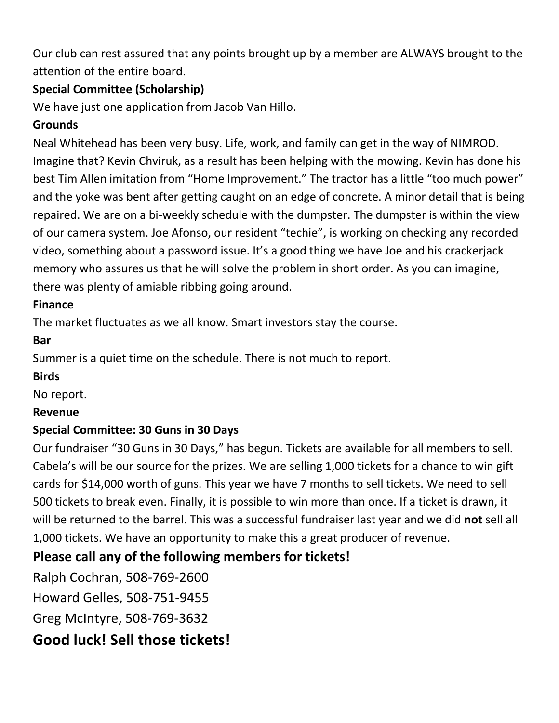Our club can rest assured that any points brought up by a member are ALWAYS brought to the attention of the entire board.

# **Special Committee (Scholarship)**

We have just one application from Jacob Van Hillo.

# **Grounds**

Neal Whitehead has been very busy. Life, work, and family can get in the way of NIMROD. Imagine that? Kevin Chviruk, as a result has been helping with the mowing. Kevin has done his best Tim Allen imitation from "Home Improvement." The tractor has a little "too much power" and the yoke was bent after getting caught on an edge of concrete. A minor detail that is being repaired. We are on a bi-weekly schedule with the dumpster. The dumpster is within the view of our camera system. Joe Afonso, our resident "techie", is working on checking any recorded video, something about a password issue. It's a good thing we have Joe and his crackerjack memory who assures us that he will solve the problem in short order. As you can imagine, there was plenty of amiable ribbing going around.

## **Finance**

The market fluctuates as we all know. Smart investors stay the course.

**Bar**

Summer is a quiet time on the schedule. There is not much to report.

#### **Birds**

No report.

#### **Revenue**

# **Special Committee: 30 Guns in 30 Days**

Our fundraiser "30 Guns in 30 Days," has begun. Tickets are available for all members to sell. Cabela's will be our source for the prizes. We are selling 1,000 tickets for a chance to win gift cards for \$14,000 worth of guns. This year we have 7 months to sell tickets. We need to sell 500 tickets to break even. Finally, it is possible to win more than once. If a ticket is drawn, it will be returned to the barrel. This was a successful fundraiser last year and we did **not** sell all 1,000 tickets. We have an opportunity to make this a great producer of revenue.

# **Please call any of the following members for tickets!**

Ralph Cochran, 508-769-2600 Howard Gelles, 508-751-9455 Greg McIntyre, 508-769-3632 **Good luck! Sell those tickets!**